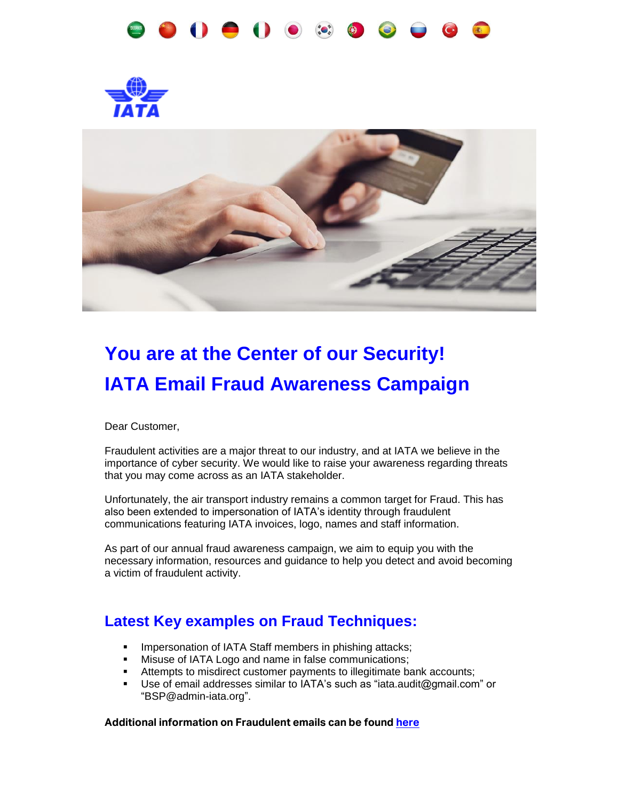





# **You are at the Center of our Security! IATA Email Fraud Awareness Campaign**

Dear Customer,

Fraudulent activities are a major threat to our industry, and at IATA we believe in the importance of cyber security. We would like to raise your awareness regarding threats that you may come across as an IATA stakeholder.

Unfortunately, the air transport industry remains a common target for Fraud. This has also been extended to impersonation of IATA's identity through fraudulent communications featuring IATA invoices, logo, names and staff information.

As part of our annual fraud awareness campaign, we aim to equip you with the necessary information, resources and guidance to help you detect and avoid becoming a victim of fraudulent activity.

### **Latest Key examples on Fraud Techniques:**

- **■** Impersonation of IATA Staff members in phishing attacks;
- **■** Misuse of IATA Logo and name in false communications;
- **EXECT** Attempts to misdirect customer payments to illegitimate bank accounts;
- Use of email addresses similar to IATA's such as "iata.audit@gmail.com" or "BSP@admin-iata.org".

#### **Additional information on Fraudulent emails can be foun[d here](https://www.iata.org/contentassets/6e0927d8067d467fba40b977ad76dd3e/fraudulent-emails-warning.pdf)**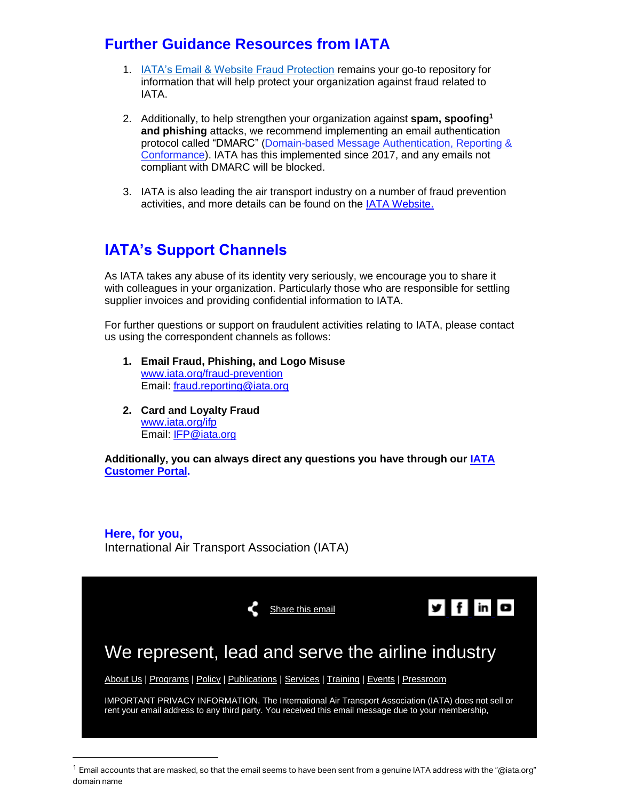## **Further Guidance Resources from IATA**

- 1. [IATA's Email & Website Fraud Protection](http://www.iata.org/fraud-prevention) remains your go-to repository for information that will help protect your organization against fraud related to IATA.
- 2. Additionally, to help strengthen your organization against **spam, spoofing<sup>1</sup> and phishing** attacks, we recommend implementing an email authentication protocol called "DMARC" [\(Domain-based Message Authentication, Reporting &](https://dmarc.org/)  [Conformance\)](https://dmarc.org/). IATA has this implemented since 2017, and any emails not compliant with DMARC will be blocked.
- 3. IATA is also leading the air transport industry on a number of fraud prevention activities, and more details can be found on the [IATA Website.](http://www.iata.org/ifp)

# **IATA's Support Channels**

As IATA takes any abuse of its identity very seriously, we encourage you to share it with colleagues in your organization. Particularly those who are responsible for settling supplier invoices and providing confidential information to IATA.

For further questions or support on fraudulent activities relating to IATA, please contact us using the correspondent channels as follows:

- **1. Email Fraud, Phishing, and Logo Misuse** [www.iata.org/fraud-prevention](https://www.iata.org/fraud-prevention) Email: [fraud.reporting@iata.org](mailto:fraud.reporting@iata.org)
- **2. Card and Loyalty Fraud** [www.iata.org/ifp](https://www.iata.org/ifp) Email: [IFP@iata.org](mailto:IFP@iata.org)

 $\overline{a}$ 

**Additionally, you can always direct any questions you have through our [IATA](http://www.iata.org/cs)  [Customer Portal.](http://www.iata.org/cs)**

**Here, for you,** International Air Transport Association (IATA)



 $1$  Email accounts that are masked, so that the email seems to have been sent from a genuine IATA address with the "@iata.org" domain name